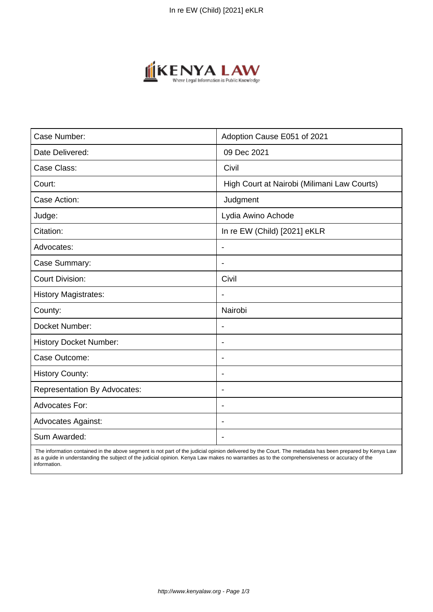

| Case Number:                        | Adoption Cause E051 of 2021                 |
|-------------------------------------|---------------------------------------------|
| Date Delivered:                     | 09 Dec 2021                                 |
| Case Class:                         | Civil                                       |
| Court:                              | High Court at Nairobi (Milimani Law Courts) |
| Case Action:                        | Judgment                                    |
| Judge:                              | Lydia Awino Achode                          |
| Citation:                           | In re EW (Child) [2021] eKLR                |
| Advocates:                          | $\overline{\phantom{a}}$                    |
| Case Summary:                       | $\overline{\phantom{a}}$                    |
| <b>Court Division:</b>              | Civil                                       |
| <b>History Magistrates:</b>         | $\blacksquare$                              |
| County:                             | Nairobi                                     |
| Docket Number:                      |                                             |
| <b>History Docket Number:</b>       | $\blacksquare$                              |
| Case Outcome:                       | $\blacksquare$                              |
| <b>History County:</b>              | $\blacksquare$                              |
| <b>Representation By Advocates:</b> | $\blacksquare$                              |
| <b>Advocates For:</b>               | $\overline{\phantom{a}}$                    |
| <b>Advocates Against:</b>           | $\overline{\phantom{a}}$                    |
| Sum Awarded:                        |                                             |

 The information contained in the above segment is not part of the judicial opinion delivered by the Court. The metadata has been prepared by Kenya Law as a guide in understanding the subject of the judicial opinion. Kenya Law makes no warranties as to the comprehensiveness or accuracy of the information.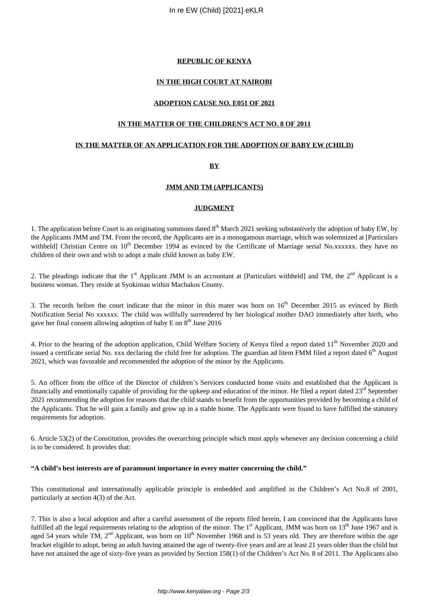### **REPUBLIC OF KENYA**

### **IN THE HIGH COURT AT NAIROBI**

#### **ADOPTION CAUSE NO. E051 OF 2021**

### **IN THE MATTER OF THE CHILDREN'S ACT NO. 8 OF 2011**

#### **IN THE MATTER OF AN APPLICATION FOR THE ADOPTION OF BABY EW (CHILD)**

## **BY**

### **JMM AND TM (APPLICANTS)**

#### **JUDGMENT**

1. The application before Court is an originating summons dated  $8<sup>th</sup>$  March 2021 seeking substantively the adoption of baby EW, by the Applicants JMM and TM. From the record, the Applicants are in a monogamous marriage, which was solemnized at [Particulars withheld] Christian Centre on 10<sup>th</sup> December 1994 as evinced by the Certificate of Marriage serial No.xxxxxx. they have no children of their own and wish to adopt a male child known as baby EW.

2. The pleadings indicate that the  $1<sup>st</sup>$  Applicant JMM is an accountant at [Particulars withheld] and TM, the  $2<sup>nd</sup>$  Applicant is a business woman. They reside at Syokimau within Machakos County.

3. The records before the court indicate that the minor in this mater was born on  $16<sup>th</sup>$  December 2015 as evinced by Birth Notification Serial No xxxxxx. The child was willfully surrendered by her biological mother DAO immediately after birth, who gave her final consent allowing adoption of baby E on  $8<sup>th</sup>$  June 2016

4. Prior to the hearing of the adoption application, Child Welfare Society of Kenya filed a report dated 11<sup>th</sup> November 2020 and issued a certificate serial No. xxx declaring the child free for adoption. The guardian ad litem FMM filed a report dated  $6<sup>th</sup>$  August 2021, which was favorable and recommended the adoption of the minor by the Applicants.

5. An officer from the office of the Director of children's Services conducted home visits and established that the Applicant is financially and emotionally capable of providing for the upkeep and education of the minor. He filed a report dated 23<sup>rd</sup> September 2021 recommending the adoption for reasons that the child stands to benefit from the opportunities provided by becoming a child of the Applicants. That he will gain a family and grow up in a stable home. The Applicants were found to have fulfilled the statutory requirements for adoption.

6. Article 53(2) of the Constitution, provides the overarching principle which must apply whenever any decision concerning a child is to be considered. It provides that:

#### **"A child's best interests are of paramount importance in every matter concerning the child."**

This constitutional and internationally applicable principle is embedded and amplified in the Children's Act No.8 of 2001, particularly at section 4(3) of the Act.

7. This is also a local adoption and after a careful assessment of the reports filed herein, I am convinced that the Applicants have fulfilled all the legal requirements relating to the adoption of the minor. The 1<sup>st</sup> Applicant, JMM was born on 13<sup>th</sup> June 1967 and is aged 54 years while TM,  $2<sup>nd</sup>$  Applicant, was born on  $10<sup>th</sup>$  November 1968 and is 53 years old. They are therefore within the age bracket eligible to adopt, being an adult having attained the age of twenty-five years and are at least 21 years older than the child but have not attained the age of sixty-five years as provided by Section 158(1) of the Children's Act No. 8 of 2011. The Applicants also